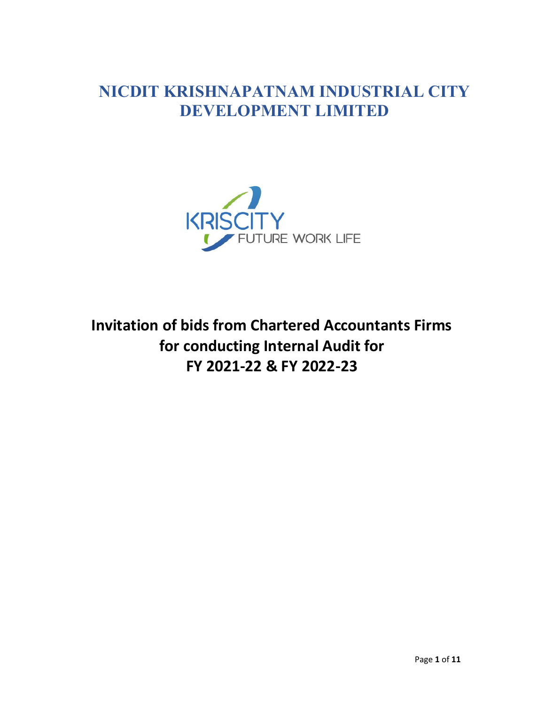## NICDIT KRISHNAPATNAM INDUSTRIAL CITY DEVELOPMENT LIMITED



Invitation of bids from Chartered Accountants Firms for conducting Internal Audit for FY 2021-22 & FY 2022-23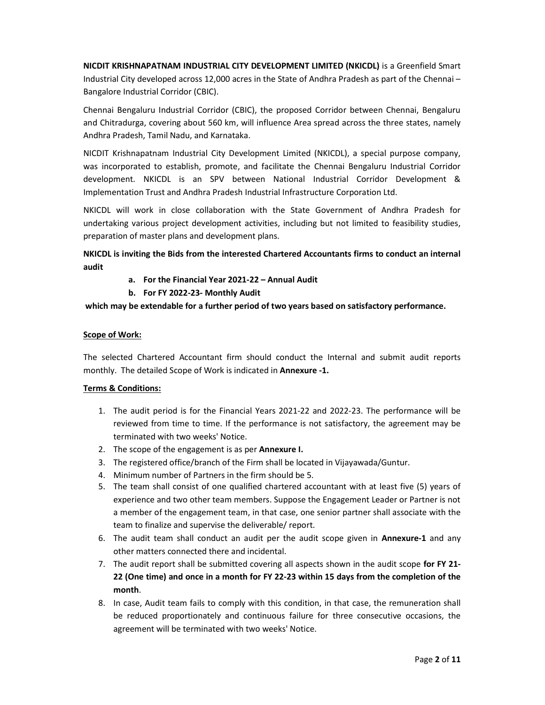NICDIT KRISHNAPATNAM INDUSTRIAL CITY DEVELOPMENT LIMITED (NKICDL) is a Greenfield Smart Industrial City developed across 12,000 acres in the State of Andhra Pradesh as part of the Chennai – Bangalore Industrial Corridor (CBIC).

Chennai Bengaluru Industrial Corridor (CBIC), the proposed Corridor between Chennai, Bengaluru and Chitradurga, covering about 560 km, will influence Area spread across the three states, namely Andhra Pradesh, Tamil Nadu, and Karnataka.

NICDIT Krishnapatnam Industrial City Development Limited (NKICDL), a special purpose company, was incorporated to establish, promote, and facilitate the Chennai Bengaluru Industrial Corridor development. NKICDL is an SPV between National Industrial Corridor Development & Implementation Trust and Andhra Pradesh Industrial Infrastructure Corporation Ltd.

NKICDL will work in close collaboration with the State Government of Andhra Pradesh for undertaking various project development activities, including but not limited to feasibility studies, preparation of master plans and development plans.

NKICDL is inviting the Bids from the interested Chartered Accountants firms to conduct an internal audit

- a. For the Financial Year 2021-22 Annual Audit
- b. For FY 2022-23- Monthly Audit

#### which may be extendable for a further period of two years based on satisfactory performance.

#### Scope of Work:

The selected Chartered Accountant firm should conduct the Internal and submit audit reports monthly. The detailed Scope of Work is indicated in Annexure -1.

#### Terms & Conditions:

- 1. The audit period is for the Financial Years 2021-22 and 2022-23. The performance will be reviewed from time to time. If the performance is not satisfactory, the agreement may be terminated with two weeks' Notice.
- 2. The scope of the engagement is as per **Annexure I.**
- 3. The registered office/branch of the Firm shall be located in Vijayawada/Guntur.
- 4. Minimum number of Partners in the firm should be 5.
- 5. The team shall consist of one qualified chartered accountant with at least five (5) years of experience and two other team members. Suppose the Engagement Leader or Partner is not a member of the engagement team, in that case, one senior partner shall associate with the team to finalize and supervise the deliverable/ report.
- 6. The audit team shall conduct an audit per the audit scope given in Annexure-1 and any other matters connected there and incidental.
- 7. The audit report shall be submitted covering all aspects shown in the audit scope for FY 21-22 (One time) and once in a month for FY 22-23 within 15 days from the completion of the month.
- 8. In case, Audit team fails to comply with this condition, in that case, the remuneration shall be reduced proportionately and continuous failure for three consecutive occasions, the agreement will be terminated with two weeks' Notice.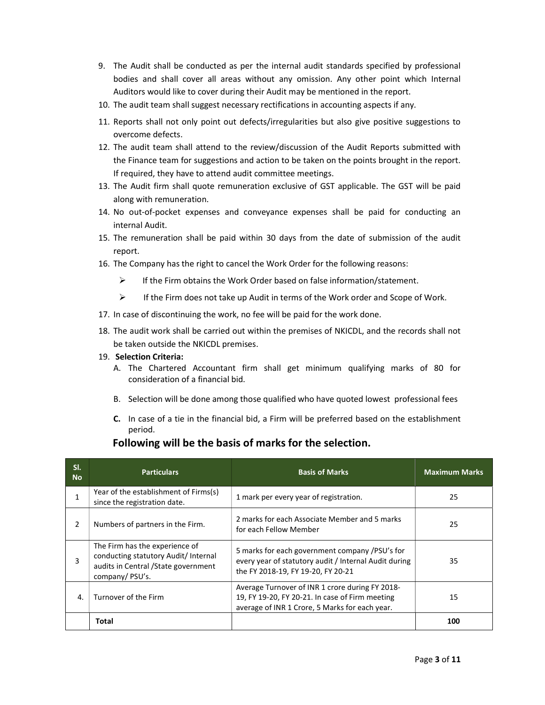- 9. The Audit shall be conducted as per the internal audit standards specified by professional bodies and shall cover all areas without any omission. Any other point which Internal Auditors would like to cover during their Audit may be mentioned in the report.
- 10. The audit team shall suggest necessary rectifications in accounting aspects if any.
- 11. Reports shall not only point out defects/irregularities but also give positive suggestions to overcome defects.
- 12. The audit team shall attend to the review/discussion of the Audit Reports submitted with the Finance team for suggestions and action to be taken on the points brought in the report. If required, they have to attend audit committee meetings.
- 13. The Audit firm shall quote remuneration exclusive of GST applicable. The GST will be paid along with remuneration.
- 14. No out-of-pocket expenses and conveyance expenses shall be paid for conducting an internal Audit.
- 15. The remuneration shall be paid within 30 days from the date of submission of the audit report.
- 16. The Company has the right to cancel the Work Order for the following reasons:
	- $\triangleright$  If the Firm obtains the Work Order based on false information/statement.
	- $\triangleright$  If the Firm does not take up Audit in terms of the Work order and Scope of Work.
- 17. In case of discontinuing the work, no fee will be paid for the work done.
- 18. The audit work shall be carried out within the premises of NKICDL, and the records shall not be taken outside the NKICDL premises.
- 19. Selection Criteria:
	- A. The Chartered Accountant firm shall get minimum qualifying marks of 80 for consideration of a financial bid.
	- B. Selection will be done among those qualified who have quoted lowest professional fees
	- C. In case of a tie in the financial bid, a Firm will be preferred based on the establishment period.

## Following will be the basis of marks for the selection.

| SI.<br><b>No</b> | <b>Particulars</b>                                                                                                               | <b>Basis of Marks</b>                                                                                                                                | <b>Maximum Marks</b> |
|------------------|----------------------------------------------------------------------------------------------------------------------------------|------------------------------------------------------------------------------------------------------------------------------------------------------|----------------------|
|                  | Year of the establishment of Firms(s)<br>since the registration date.                                                            | 1 mark per every year of registration.                                                                                                               | 25                   |
| 2                | Numbers of partners in the Firm.                                                                                                 | 2 marks for each Associate Member and 5 marks<br>for each Fellow Member                                                                              | 25                   |
| 3                | The Firm has the experience of<br>conducting statutory Audit/ Internal<br>audits in Central / State government<br>company/PSU's. | 5 marks for each government company /PSU's for<br>every year of statutory audit / Internal Audit during<br>the FY 2018-19, FY 19-20, FY 20-21        | 35                   |
| $\mathbf{A}$     | Turnover of the Firm                                                                                                             | Average Turnover of INR 1 crore during FY 2018-<br>19, FY 19-20, FY 20-21. In case of Firm meeting<br>average of INR 1 Crore, 5 Marks for each year. | 15                   |
|                  | Total                                                                                                                            |                                                                                                                                                      | 100                  |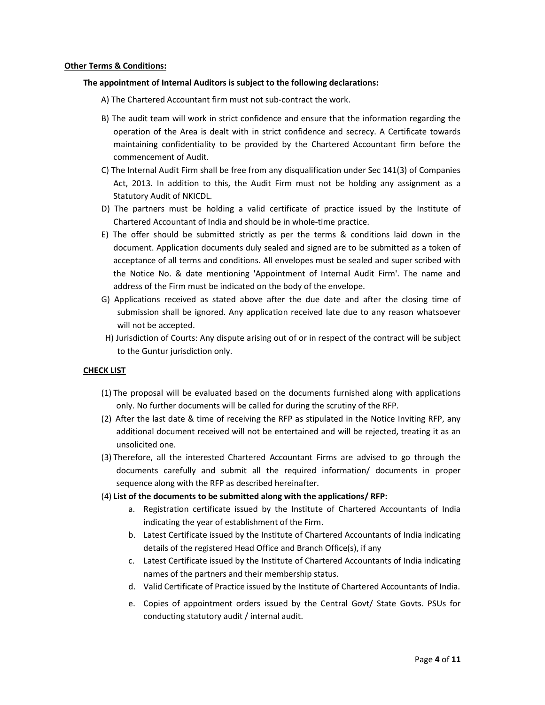#### Other Terms & Conditions:

#### The appointment of Internal Auditors is subject to the following declarations:

A) The Chartered Accountant firm must not sub-contract the work.

- B) The audit team will work in strict confidence and ensure that the information regarding the operation of the Area is dealt with in strict confidence and secrecy. A Certificate towards maintaining confidentiality to be provided by the Chartered Accountant firm before the commencement of Audit.
- C) The Internal Audit Firm shall be free from any disqualification under Sec 141(3) of Companies Act, 2013. In addition to this, the Audit Firm must not be holding any assignment as a Statutory Audit of NKICDL.
- D) The partners must be holding a valid certificate of practice issued by the Institute of Chartered Accountant of India and should be in whole-time practice.
- E) The offer should be submitted strictly as per the terms & conditions laid down in the document. Application documents duly sealed and signed are to be submitted as a token of acceptance of all terms and conditions. All envelopes must be sealed and super scribed with the Notice No. & date mentioning 'Appointment of Internal Audit Firm'. The name and address of the Firm must be indicated on the body of the envelope.
- G) Applications received as stated above after the due date and after the closing time of submission shall be ignored. Any application received late due to any reason whatsoever will not be accepted.
- H) Jurisdiction of Courts: Any dispute arising out of or in respect of the contract will be subject to the Guntur jurisdiction only.

#### CHECK LIST

- (1) The proposal will be evaluated based on the documents furnished along with applications only. No further documents will be called for during the scrutiny of the RFP.
- (2) After the last date & time of receiving the RFP as stipulated in the Notice Inviting RFP, any additional document received will not be entertained and will be rejected, treating it as an unsolicited one.
- (3) Therefore, all the interested Chartered Accountant Firms are advised to go through the documents carefully and submit all the required information/ documents in proper sequence along with the RFP as described hereinafter.

#### (4) List of the documents to be submitted along with the applications/ RFP:

- a. Registration certificate issued by the Institute of Chartered Accountants of India indicating the year of establishment of the Firm.
- b. Latest Certificate issued by the Institute of Chartered Accountants of India indicating details of the registered Head Office and Branch Office(s), if any
- c. Latest Certificate issued by the Institute of Chartered Accountants of India indicating names of the partners and their membership status.
- d. Valid Certificate of Practice issued by the Institute of Chartered Accountants of India.
- e. Copies of appointment orders issued by the Central Govt/ State Govts. PSUs for conducting statutory audit / internal audit.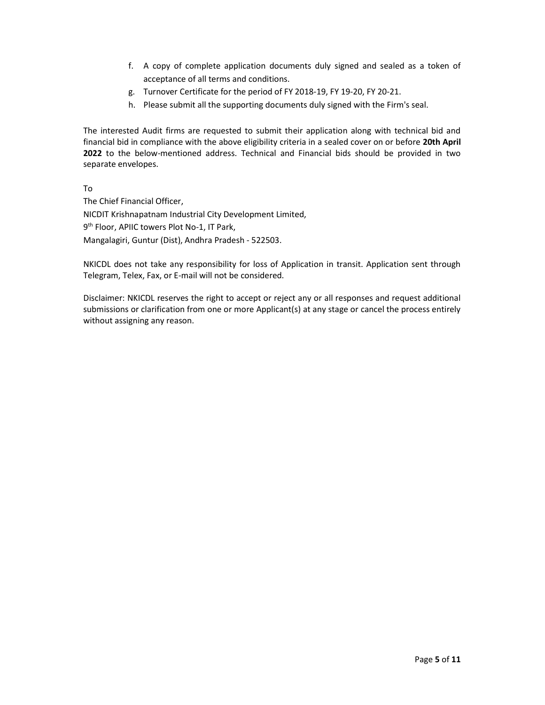- f. A copy of complete application documents duly signed and sealed as a token of acceptance of all terms and conditions.
- g. Turnover Certificate for the period of FY 2018-19, FY 19-20, FY 20-21.
- h. Please submit all the supporting documents duly signed with the Firm's seal.

The interested Audit firms are requested to submit their application along with technical bid and financial bid in compliance with the above eligibility criteria in a sealed cover on or before 20th April 2022 to the below-mentioned address. Technical and Financial bids should be provided in two separate envelopes.

To

The Chief Financial Officer, NICDIT Krishnapatnam Industrial City Development Limited, 9<sup>th</sup> Floor, APIIC towers Plot No-1, IT Park, Mangalagiri, Guntur (Dist), Andhra Pradesh - 522503.

NKICDL does not take any responsibility for loss of Application in transit. Application sent through Telegram, Telex, Fax, or E-mail will not be considered.

Disclaimer: NKICDL reserves the right to accept or reject any or all responses and request additional submissions or clarification from one or more Applicant(s) at any stage or cancel the process entirely without assigning any reason.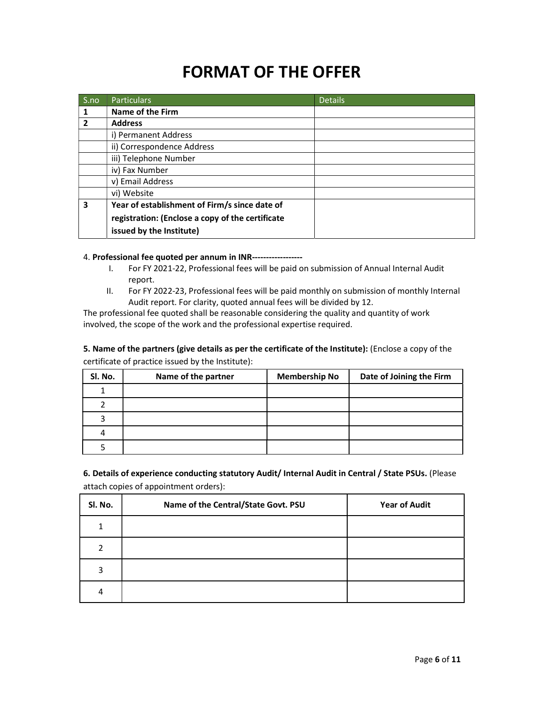# FORMAT OF THE OFFER

| S.no           | <b>Particulars</b>                               | <b>Details</b> |
|----------------|--------------------------------------------------|----------------|
| 1              | Name of the Firm                                 |                |
| $\overline{2}$ | <b>Address</b>                                   |                |
|                | i) Permanent Address                             |                |
|                | ii) Correspondence Address                       |                |
|                | iii) Telephone Number                            |                |
|                | iv) Fax Number                                   |                |
|                | v) Email Address                                 |                |
|                | vi) Website                                      |                |
| 3              | Year of establishment of Firm/s since date of    |                |
|                | registration: (Enclose a copy of the certificate |                |
|                | issued by the Institute)                         |                |

4. Professional fee quoted per annum in INR------------------

- I. For FY 2021-22, Professional fees will be paid on submission of Annual Internal Audit report.
- II. For FY 2022-23, Professional fees will be paid monthly on submission of monthly Internal Audit report. For clarity, quoted annual fees will be divided by 12.

The professional fee quoted shall be reasonable considering the quality and quantity of work involved, the scope of the work and the professional expertise required.

5. Name of the partners (give details as per the certificate of the Institute): (Enclose a copy of the certificate of practice issued by the Institute):

| SI. No. | Name of the partner | <b>Membership No</b> | Date of Joining the Firm |
|---------|---------------------|----------------------|--------------------------|
|         |                     |                      |                          |
|         |                     |                      |                          |
|         |                     |                      |                          |
|         |                     |                      |                          |
|         |                     |                      |                          |

6. Details of experience conducting statutory Audit/ Internal Audit in Central / State PSUs. (Please attach copies of appointment orders):

| Sl. No. | Name of the Central/State Govt. PSU | <b>Year of Audit</b> |
|---------|-------------------------------------|----------------------|
|         |                                     |                      |
| 2       |                                     |                      |
| 3       |                                     |                      |
|         |                                     |                      |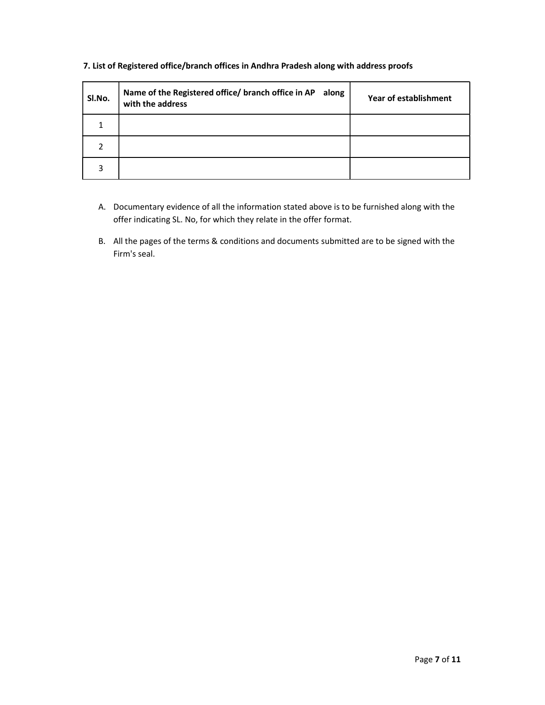| SI.No. | Name of the Registered office/ branch office in AP along<br>with the address | Year of establishment |
|--------|------------------------------------------------------------------------------|-----------------------|
|        |                                                                              |                       |
| າ      |                                                                              |                       |
| 3      |                                                                              |                       |

### 7. List of Registered office/branch offices in Andhra Pradesh along with address proofs

- A. Documentary evidence of all the information stated above is to be furnished along with the offer indicating SL. No, for which they relate in the offer format.
- B. All the pages of the terms & conditions and documents submitted are to be signed with the Firm's seal.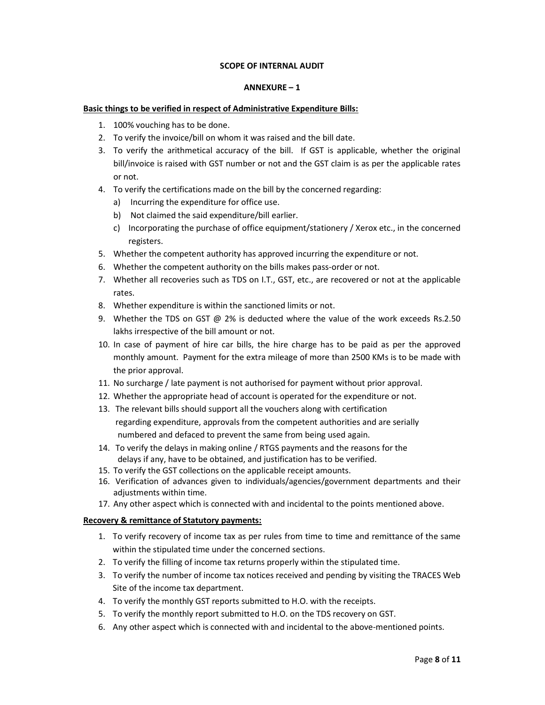#### SCOPE OF INTERNAL AUDIT

#### ANNEXURE – 1

#### Basic things to be verified in respect of Administrative Expenditure Bills:

- 1. 100% vouching has to be done.
- 2. To verify the invoice/bill on whom it was raised and the bill date.
- 3. To verify the arithmetical accuracy of the bill. If GST is applicable, whether the original bill/invoice is raised with GST number or not and the GST claim is as per the applicable rates or not.
- 4. To verify the certifications made on the bill by the concerned regarding:
	- a) Incurring the expenditure for office use.
	- b) Not claimed the said expenditure/bill earlier.
	- c) Incorporating the purchase of office equipment/stationery / Xerox etc., in the concerned registers.
- 5. Whether the competent authority has approved incurring the expenditure or not.
- 6. Whether the competent authority on the bills makes pass-order or not.
- 7. Whether all recoveries such as TDS on I.T., GST, etc., are recovered or not at the applicable rates.
- 8. Whether expenditure is within the sanctioned limits or not.
- 9. Whether the TDS on GST @ 2% is deducted where the value of the work exceeds Rs.2.50 lakhs irrespective of the bill amount or not.
- 10. In case of payment of hire car bills, the hire charge has to be paid as per the approved monthly amount. Payment for the extra mileage of more than 2500 KMs is to be made with the prior approval.
- 11. No surcharge / late payment is not authorised for payment without prior approval.
- 12. Whether the appropriate head of account is operated for the expenditure or not.
- 13. The relevant bills should support all the vouchers along with certification
	- regarding expenditure, approvals from the competent authorities and are serially numbered and defaced to prevent the same from being used again.
- 14. To verify the delays in making online / RTGS payments and the reasons for the delays if any, have to be obtained, and justification has to be verified.
- 15. To verify the GST collections on the applicable receipt amounts.
- 16. Verification of advances given to individuals/agencies/government departments and their adjustments within time.
- 17. Any other aspect which is connected with and incidental to the points mentioned above.

#### Recovery & remittance of Statutory payments:

- 1. To verify recovery of income tax as per rules from time to time and remittance of the same within the stipulated time under the concerned sections.
- 2. To verify the filling of income tax returns properly within the stipulated time.
- 3. To verify the number of income tax notices received and pending by visiting the TRACES Web Site of the income tax department.
- 4. To verify the monthly GST reports submitted to H.O. with the receipts.
- 5. To verify the monthly report submitted to H.O. on the TDS recovery on GST.
- 6. Any other aspect which is connected with and incidental to the above-mentioned points.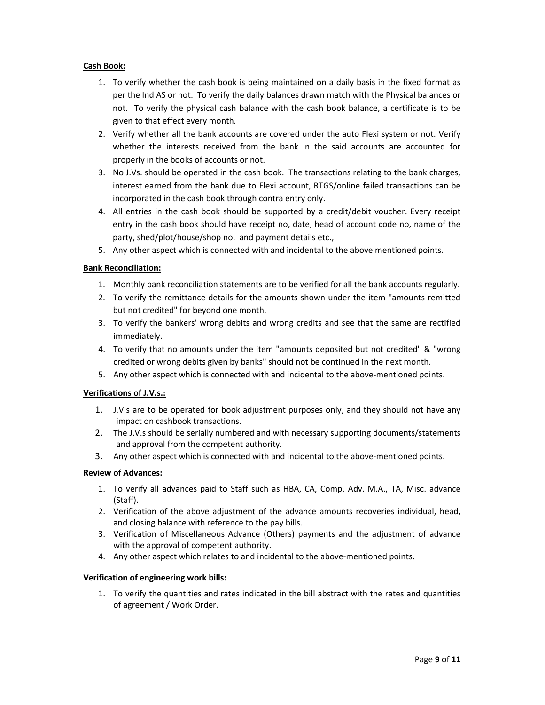#### Cash Book:

- 1. To verify whether the cash book is being maintained on a daily basis in the fixed format as per the Ind AS or not. To verify the daily balances drawn match with the Physical balances or not. To verify the physical cash balance with the cash book balance, a certificate is to be given to that effect every month.
- 2. Verify whether all the bank accounts are covered under the auto Flexi system or not. Verify whether the interests received from the bank in the said accounts are accounted for properly in the books of accounts or not.
- 3. No J.Vs. should be operated in the cash book. The transactions relating to the bank charges, interest earned from the bank due to Flexi account, RTGS/online failed transactions can be incorporated in the cash book through contra entry only.
- 4. All entries in the cash book should be supported by a credit/debit voucher. Every receipt entry in the cash book should have receipt no, date, head of account code no, name of the party, shed/plot/house/shop no. and payment details etc.,
- 5. Any other aspect which is connected with and incidental to the above mentioned points.

#### Bank Reconciliation:

- 1. Monthly bank reconciliation statements are to be verified for all the bank accounts regularly.
- 2. To verify the remittance details for the amounts shown under the item "amounts remitted but not credited" for beyond one month.
- 3. To verify the bankers' wrong debits and wrong credits and see that the same are rectified immediately.
- 4. To verify that no amounts under the item "amounts deposited but not credited" & "wrong credited or wrong debits given by banks" should not be continued in the next month.
- 5. Any other aspect which is connected with and incidental to the above-mentioned points.

#### Verifications of J.V.s.:

- 1. J.V.s are to be operated for book adjustment purposes only, and they should not have any impact on cashbook transactions.
- 2. The J.V.s should be serially numbered and with necessary supporting documents/statements and approval from the competent authority.
- 3. Any other aspect which is connected with and incidental to the above-mentioned points.

#### Review of Advances:

- 1. To verify all advances paid to Staff such as HBA, CA, Comp. Adv. M.A., TA, Misc. advance (Staff).
- 2. Verification of the above adjustment of the advance amounts recoveries individual, head, and closing balance with reference to the pay bills.
- 3. Verification of Miscellaneous Advance (Others) payments and the adjustment of advance with the approval of competent authority.
- 4. Any other aspect which relates to and incidental to the above-mentioned points.

#### Verification of engineering work bills:

1. To verify the quantities and rates indicated in the bill abstract with the rates and quantities of agreement / Work Order.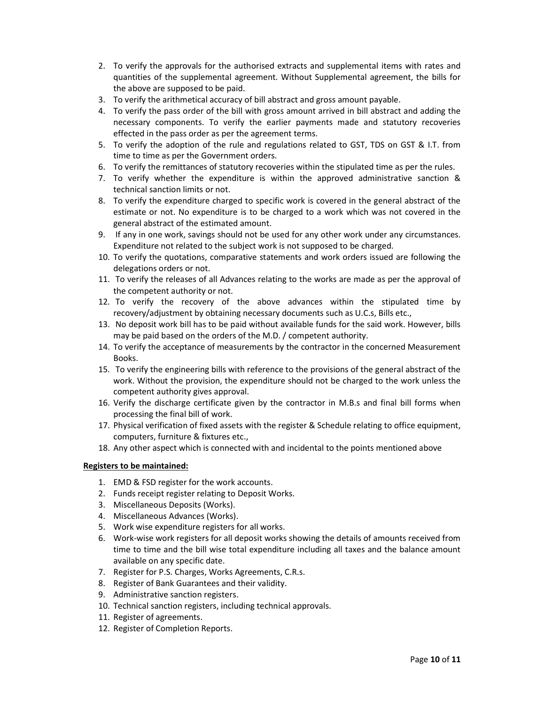- 2. To verify the approvals for the authorised extracts and supplemental items with rates and quantities of the supplemental agreement. Without Supplemental agreement, the bills for the above are supposed to be paid.
- 3. To verify the arithmetical accuracy of bill abstract and gross amount payable.
- 4. To verify the pass order of the bill with gross amount arrived in bill abstract and adding the necessary components. To verify the earlier payments made and statutory recoveries effected in the pass order as per the agreement terms.
- 5. To verify the adoption of the rule and regulations related to GST, TDS on GST & I.T. from time to time as per the Government orders.
- 6. To verify the remittances of statutory recoveries within the stipulated time as per the rules.
- 7. To verify whether the expenditure is within the approved administrative sanction & technical sanction limits or not.
- 8. To verify the expenditure charged to specific work is covered in the general abstract of the estimate or not. No expenditure is to be charged to a work which was not covered in the general abstract of the estimated amount.
- 9. If any in one work, savings should not be used for any other work under any circumstances. Expenditure not related to the subject work is not supposed to be charged.
- 10. To verify the quotations, comparative statements and work orders issued are following the delegations orders or not.
- 11. To verify the releases of all Advances relating to the works are made as per the approval of the competent authority or not.
- 12. To verify the recovery of the above advances within the stipulated time by recovery/adjustment by obtaining necessary documents such as U.C.s, Bills etc.,
- 13. No deposit work bill has to be paid without available funds for the said work. However, bills may be paid based on the orders of the M.D. / competent authority.
- 14. To verify the acceptance of measurements by the contractor in the concerned Measurement Books.
- 15. To verify the engineering bills with reference to the provisions of the general abstract of the work. Without the provision, the expenditure should not be charged to the work unless the competent authority gives approval.
- 16. Verify the discharge certificate given by the contractor in M.B.s and final bill forms when processing the final bill of work.
- 17. Physical verification of fixed assets with the register & Schedule relating to office equipment, computers, furniture & fixtures etc.,
- 18. Any other aspect which is connected with and incidental to the points mentioned above

#### Registers to be maintained:

- 1. EMD & FSD register for the work accounts.
- 2. Funds receipt register relating to Deposit Works.
- 3. Miscellaneous Deposits (Works).
- 4. Miscellaneous Advances (Works).
- 5. Work wise expenditure registers for all works.
- 6. Work-wise work registers for all deposit works showing the details of amounts received from time to time and the bill wise total expenditure including all taxes and the balance amount available on any specific date.
- 7. Register for P.S. Charges, Works Agreements, C.R.s.
- 8. Register of Bank Guarantees and their validity.
- 9. Administrative sanction registers.
- 10. Technical sanction registers, including technical approvals.
- 11. Register of agreements.
- 12. Register of Completion Reports.